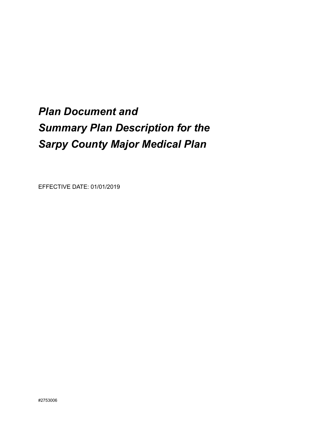# *Plan Document and Summary Plan Description for the Sarpy County Major Medical Plan*

EFFECTIVE DATE: 01/01/2019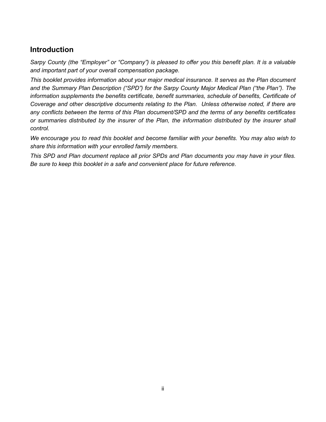# **Introduction**

*Sarpy County (the "Employer" or "Company") is pleased to offer you this benefit plan. It is a valuable and important part of your overall compensation package.* 

*This booklet provides information about your major medical insurance. It serves as the Plan document and the Summary Plan Description ("SPD") for the Sarpy County Major Medical Plan ("the Plan"). The information supplements the benefits certificate, benefit summaries, schedule of benefits, Certificate of Coverage and other descriptive documents relating to the Plan. Unless otherwise noted, if there are any conflicts between the terms of this Plan document/SPD and the terms of any benefits certificates or summaries distributed by the insurer of the Plan, the information distributed by the insurer shall control.*

*We encourage you to read this booklet and become familiar with your benefits. You may also wish to share this information with your enrolled family members.* 

*This SPD and Plan document replace all prior SPDs and Plan documents you may have in your files. Be sure to keep this booklet in a safe and convenient place for future reference.*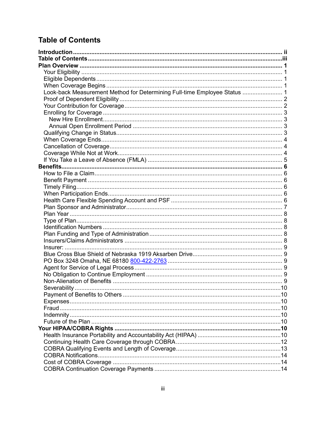# **Table of Contents**

| Look-back Measurement Method for Determining Full-time Employee Status  1 |  |
|---------------------------------------------------------------------------|--|
|                                                                           |  |
|                                                                           |  |
|                                                                           |  |
|                                                                           |  |
|                                                                           |  |
|                                                                           |  |
|                                                                           |  |
|                                                                           |  |
|                                                                           |  |
|                                                                           |  |
|                                                                           |  |
|                                                                           |  |
|                                                                           |  |
|                                                                           |  |
|                                                                           |  |
|                                                                           |  |
|                                                                           |  |
|                                                                           |  |
|                                                                           |  |
|                                                                           |  |
|                                                                           |  |
|                                                                           |  |
|                                                                           |  |
|                                                                           |  |
|                                                                           |  |
|                                                                           |  |
|                                                                           |  |
|                                                                           |  |
| Severability                                                              |  |
|                                                                           |  |
|                                                                           |  |
|                                                                           |  |
|                                                                           |  |
|                                                                           |  |
|                                                                           |  |
|                                                                           |  |
|                                                                           |  |
|                                                                           |  |
|                                                                           |  |
|                                                                           |  |
|                                                                           |  |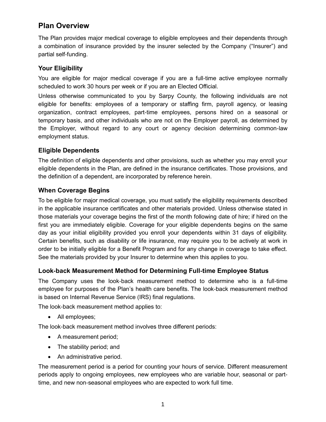# **Plan Overview**

The Plan provides major medical coverage to eligible employees and their dependents through a combination of insurance provided by the insurer selected by the Company ("Insurer") and partial self-funding.

# **Your Eligibility**

You are eligible for major medical coverage if you are a full-time active employee normally scheduled to work 30 hours per week or if you are an Elected Official.

Unless otherwise communicated to you by Sarpy County, the following individuals are not eligible for benefits: employees of a temporary or staffing firm, payroll agency, or leasing organization, contract employees, part-time employees, persons hired on a seasonal or temporary basis, and other individuals who are not on the Employer payroll, as determined by the Employer, without regard to any court or agency decision determining common-law employment status.

# **Eligible Dependents**

The definition of eligible dependents and other provisions, such as whether you may enroll your eligible dependents in the Plan, are defined in the insurance certificates. Those provisions, and the definition of a dependent, are incorporated by reference herein.

### **When Coverage Begins**

To be eligible for major medical coverage, you must satisfy the eligibility requirements described in the applicable insurance certificates and other materials provided. Unless otherwise stated in those materials your coverage begins the first of the month following date of hire; if hired on the first you are immediately eligible. Coverage for your eligible dependents begins on the same day as your initial eligibility provided you enroll your dependents within 31 days of eligibility. Certain benefits, such as disability or life insurance, may require you to be actively at work in order to be initially eligible for a Benefit Program and for any change in coverage to take effect. See the materials provided by your Insurer to determine when this applies to you.

# **Look-back Measurement Method for Determining Full-time Employee Status**

The Company uses the look-back measurement method to determine who is a full-time employee for purposes of the Plan's health care benefits. The look-back measurement method is based on Internal Revenue Service (IRS) final regulations.

The look-back measurement method applies to:

• All employees;

The look-back measurement method involves three different periods:

- A measurement period;
- The stability period; and
- An administrative period.

The measurement period is a period for counting your hours of service. Different measurement periods apply to ongoing employees, new employees who are variable hour, seasonal or parttime, and new non-seasonal employees who are expected to work full time.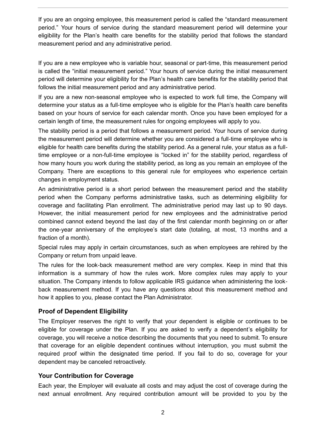If you are an ongoing employee, this measurement period is called the "standard measurement period." Your hours of service during the standard measurement period will determine your eligibility for the Plan's health care benefits for the stability period that follows the standard measurement period and any administrative period.

If you are a new employee who is variable hour, seasonal or part-time, this measurement period is called the "initial measurement period." Your hours of service during the initial measurement period will determine your eligibility for the Plan's health care benefits for the stability period that follows the initial measurement period and any administrative period.

If you are a new non-seasonal employee who is expected to work full time, the Company will determine your status as a full-time employee who is eligible for the Plan's health care benefits based on your hours of service for each calendar month. Once you have been employed for a certain length of time, the measurement rules for ongoing employees will apply to you.

The stability period is a period that follows a measurement period. Your hours of service during the measurement period will determine whether you are considered a full-time employee who is eligible for health care benefits during the stability period. As a general rule, your status as a fulltime employee or a non-full-time employee is "locked in" for the stability period, regardless of how many hours you work during the stability period, as long as you remain an employee of the Company. There are exceptions to this general rule for employees who experience certain changes in employment status.

An administrative period is a short period between the measurement period and the stability period when the Company performs administrative tasks, such as determining eligibility for coverage and facilitating Plan enrollment. The administrative period may last up to 90 days. However, the initial measurement period for new employees and the administrative period combined cannot extend beyond the last day of the first calendar month beginning on or after the one-year anniversary of the employee's start date (totaling, at most, 13 months and a fraction of a month).

Special rules may apply in certain circumstances, such as when employees are rehired by the Company or return from unpaid leave.

The rules for the look-back measurement method are very complex. Keep in mind that this information is a summary of how the rules work. More complex rules may apply to your situation. The Company intends to follow applicable IRS guidance when administering the lookback measurement method. If you have any questions about this measurement method and how it applies to you, please contact the Plan Administrator.

# **Proof of Dependent Eligibility**

The Employer reserves the right to verify that your dependent is eligible or continues to be eligible for coverage under the Plan. If you are asked to verify a dependent's eligibility for coverage, you will receive a notice describing the documents that you need to submit. To ensure that coverage for an eligible dependent continues without interruption, you must submit the required proof within the designated time period. If you fail to do so, coverage for your dependent may be canceled retroactively.

# **Your Contribution for Coverage**

Each year, the Employer will evaluate all costs and may adjust the cost of coverage during the next annual enrollment. Any required contribution amount will be provided to you by the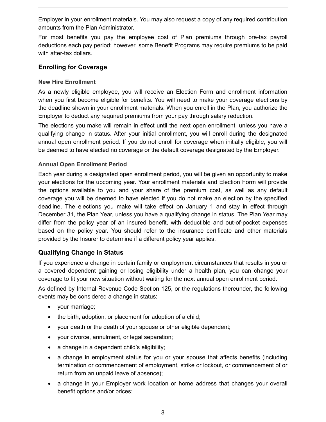Employer in your enrollment materials. You may also request a copy of any required contribution amounts from the Plan Administrator.

For most benefits you pay the employee cost of Plan premiums through pre-tax payroll deductions each pay period; however, some Benefit Programs may require premiums to be paid with after-tax dollars.

## **Enrolling for Coverage**

#### **New Hire Enrollment**

As a newly eligible employee, you will receive an Election Form and enrollment information when you first become eligible for benefits. You will need to make your coverage elections by the deadline shown in your enrollment materials. When you enroll in the Plan, you authorize the Employer to deduct any required premiums from your pay through salary reduction.

The elections you make will remain in effect until the next open enrollment, unless you have a qualifying change in status. After your initial enrollment, you will enroll during the designated annual open enrollment period. If you do not enroll for coverage when initially eligible, you will be deemed to have elected no coverage or the default coverage designated by the Employer.

#### **Annual Open Enrollment Period**

Each year during a designated open enrollment period, you will be given an opportunity to make your elections for the upcoming year. Your enrollment materials and Election Form will provide the options available to you and your share of the premium cost, as well as any default coverage you will be deemed to have elected if you do not make an election by the specified deadline. The elections you make will take effect on January 1 and stay in effect through December 31, the Plan Year, unless you have a qualifying change in status. The Plan Year may differ from the policy year of an insured benefit, with deductible and out-of-pocket expenses based on the policy year. You should refer to the insurance certificate and other materials provided by the Insurer to determine if a different policy year applies.

# **Qualifying Change in Status**

If you experience a change in certain family or employment circumstances that results in you or a covered dependent gaining or losing eligibility under a health plan, you can change your coverage to fit your new situation without waiting for the next annual open enrollment period.

As defined by Internal Revenue Code Section 125, or the regulations thereunder, the following events may be considered a change in status:

- your marriage;
- the birth, adoption, or placement for adoption of a child;
- your death or the death of your spouse or other eligible dependent;
- your divorce, annulment, or legal separation;
- a change in a dependent child's eligibility;
- a change in employment status for you or your spouse that affects benefits (including termination or commencement of employment, strike or lockout, or commencement of or return from an unpaid leave of absence);
- a change in your Employer work location or home address that changes your overall benefit options and/or prices;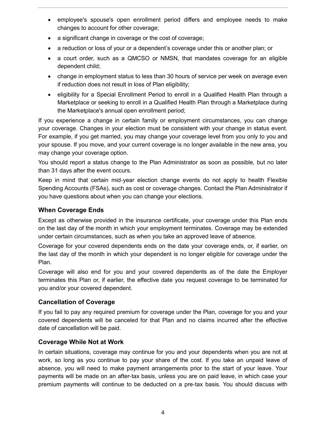- employee's spouse's open enrollment period differs and employee needs to make changes to account for other coverage;
- a significant change in coverage or the cost of coverage;
- a reduction or loss of your or a dependent's coverage under this or another plan; or
- a court order, such as a QMCSO or NMSN, that mandates coverage for an eligible dependent child;
- change in employment status to less than 30 hours of service per week on average even if reduction does not result in loss of Plan eligibility;
- eligibility for a Special Enrollment Period to enroll in a Qualified Health Plan through a Marketplace or seeking to enroll in a Qualified Health Plan through a Marketplace during the Marketplace's annual open enrollment period;

If you experience a change in certain family or employment circumstances, you can change your coverage. Changes in your election must be consistent with your change in status event. For example, if you get married, you may change your coverage level from you only to you and your spouse. If you move, and your current coverage is no longer available in the new area, you may change your coverage option.

You should report a status change to the Plan Administrator as soon as possible, but no later than 31 days after the event occurs.

Keep in mind that certain mid-year election change events do not apply to health Flexible Spending Accounts (FSAs), such as cost or coverage changes. Contact the Plan Administrator if you have questions about when you can change your elections.

### **When Coverage Ends**

Except as otherwise provided in the insurance certificate, your coverage under this Plan ends on the last day of the month in which your employment terminates. Coverage may be extended under certain circumstances, such as when you take an approved leave of absence.

Coverage for your covered dependents ends on the date your coverage ends, or, if earlier, on the last day of the month in which your dependent is no longer eligible for coverage under the Plan.

Coverage will also end for you and your covered dependents as of the date the Employer terminates this Plan or, if earlier, the effective date you request coverage to be terminated for you and/or your covered dependent.

# **Cancellation of Coverage**

If you fail to pay any required premium for coverage under the Plan, coverage for you and your covered dependents will be canceled for that Plan and no claims incurred after the effective date of cancellation will be paid.

# **Coverage While Not at Work**

In certain situations, coverage may continue for you and your dependents when you are not at work, so long as you continue to pay your share of the cost. If you take an unpaid leave of absence, you will need to make payment arrangements prior to the start of your leave. Your payments will be made on an after-tax basis, unless you are on paid leave, in which case your premium payments will continue to be deducted on a pre-tax basis. You should discuss with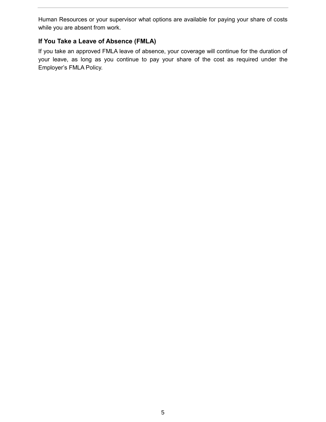Human Resources or your supervisor what options are available for paying your share of costs while you are absent from work.

# **If You Take a Leave of Absence (FMLA)**

If you take an approved FMLA leave of absence, your coverage will continue for the duration of your leave, as long as you continue to pay your share of the cost as required under the Employer's FMLA Policy.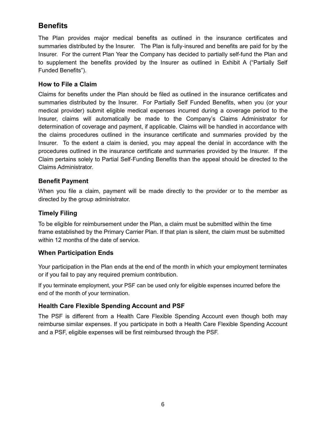# **Benefits**

The Plan provides major medical benefits as outlined in the insurance certificates and summaries distributed by the Insurer. The Plan is fully-insured and benefits are paid for by the Insurer. For the current Plan Year the Company has decided to partially self-fund the Plan and to supplement the benefits provided by the Insurer as outlined in Exhibit A ("Partially Self Funded Benefits").

## **How to File a Claim**

Claims for benefits under the Plan should be filed as outlined in the insurance certificates and summaries distributed by the Insurer. For Partially Self Funded Benefits, when you (or your medical provider) submit eligible medical expenses incurred during a coverage period to the Insurer, claims will automatically be made to the Company's Claims Administrator for determination of coverage and payment, if applicable. Claims will be handled in accordance with the claims procedures outlined in the insurance certificate and summaries provided by the Insurer. To the extent a claim is denied, you may appeal the denial in accordance with the procedures outlined in the insurance certificate and summaries provided by the Insurer. If the Claim pertains solely to Partial Self-Funding Benefits than the appeal should be directed to the Claims Administrator.

#### **Benefit Payment**

When you file a claim, payment will be made directly to the provider or to the member as directed by the group administrator.

# **Timely Filing**

To be eligible for reimbursement under the Plan, a claim must be submitted within the time frame established by the Primary Carrier Plan. If that plan is silent, the claim must be submitted within 12 months of the date of service.

#### **When Participation Ends**

Your participation in the Plan ends at the end of the month in which your employment terminates or if you fail to pay any required premium contribution.

If you terminate employment, your PSF can be used only for eligible expenses incurred before the end of the month of your termination.

# **Health Care Flexible Spending Account and PSF**

The PSF is different from a Health Care Flexible Spending Account even though both may reimburse similar expenses. If you participate in both a Health Care Flexible Spending Account and a PSF, eligible expenses will be first reimbursed through the PSF.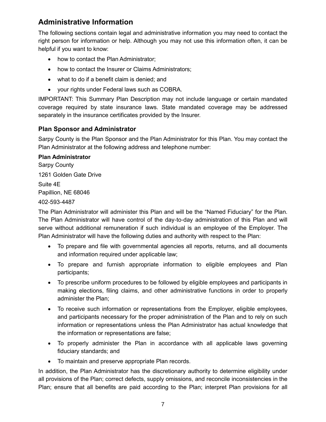# **Administrative Information**

The following sections contain legal and administrative information you may need to contact the right person for information or help. Although you may not use this information often, it can be helpful if you want to know:

- how to contact the Plan Administrator;
- how to contact the Insurer or Claims Administrators;
- what to do if a benefit claim is denied; and
- your rights under Federal laws such as COBRA.

IMPORTANT: This Summary Plan Description may not include language or certain mandated coverage required by state insurance laws. State mandated coverage may be addressed separately in the insurance certificates provided by the Insurer.

# **Plan Sponsor and Administrator**

Sarpy County is the Plan Sponsor and the Plan Administrator for this Plan. You may contact the Plan Administrator at the following address and telephone number:

**Plan Administrator** Sarpy County 1261 Golden Gate Drive Suite 4E Papillion, NE 68046 402-593-4487

The Plan Administrator will administer this Plan and will be the "Named Fiduciary" for the Plan. The Plan Administrator will have control of the day-to-day administration of this Plan and will serve without additional remuneration if such individual is an employee of the Employer. The Plan Administrator will have the following duties and authority with respect to the Plan:

- To prepare and file with governmental agencies all reports, returns, and all documents and information required under applicable law;
- To prepare and furnish appropriate information to eligible employees and Plan participants;
- To prescribe uniform procedures to be followed by eligible employees and participants in making elections, filing claims, and other administrative functions in order to properly administer the Plan;
- To receive such information or representations from the Employer, eligible employees, and participants necessary for the proper administration of the Plan and to rely on such information or representations unless the Plan Administrator has actual knowledge that the information or representations are false;
- To properly administer the Plan in accordance with all applicable laws governing fiduciary standards; and
- To maintain and preserve appropriate Plan records.

In addition, the Plan Administrator has the discretionary authority to determine eligibility under all provisions of the Plan; correct defects, supply omissions, and reconcile inconsistencies in the Plan; ensure that all benefits are paid according to the Plan; interpret Plan provisions for all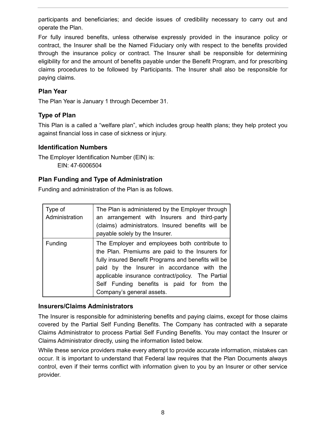participants and beneficiaries; and decide issues of credibility necessary to carry out and operate the Plan.

For fully insured benefits, unless otherwise expressly provided in the insurance policy or contract, the Insurer shall be the Named Fiduciary only with respect to the benefits provided through the insurance policy or contract. The Insurer shall be responsible for determining eligibility for and the amount of benefits payable under the Benefit Program, and for prescribing claims procedures to be followed by Participants. The Insurer shall also be responsible for paying claims.

# **Plan Year**

The Plan Year is January 1 through December 31.

# **Type of Plan**

This Plan is a called a "welfare plan", which includes group health plans; they help protect you against financial loss in case of sickness or injury.

#### **Identification Numbers**

The Employer Identification Number (EIN) is: EIN: 47-6006504

### **Plan Funding and Type of Administration**

Funding and administration of the Plan is as follows.

| Type of<br>Administration | The Plan is administered by the Employer through<br>an arrangement with Insurers and third-party<br>(claims) administrators. Insured benefits will be<br>payable solely by the Insurer.                                                                                                                                               |  |
|---------------------------|---------------------------------------------------------------------------------------------------------------------------------------------------------------------------------------------------------------------------------------------------------------------------------------------------------------------------------------|--|
| <b>Funding</b>            | The Employer and employees both contribute to<br>the Plan. Premiums are paid to the Insurers for<br>fully insured Benefit Programs and benefits will be<br>paid by the Insurer in accordance with the<br>applicable insurance contract/policy. The Partial<br>Self Funding benefits is paid for from the<br>Company's general assets. |  |

#### **Insurers/Claims Administrators**

The Insurer is responsible for administering benefits and paying claims, except for those claims covered by the Partial Self Funding Benefits. The Company has contracted with a separate Claims Administrator to process Partial Self Funding Benefits. You may contact the Insurer or Claims Administrator directly, using the information listed below.

While these service providers make every attempt to provide accurate information, mistakes can occur. It is important to understand that Federal law requires that the Plan Documents always control, even if their terms conflict with information given to you by an Insurer or other service provider.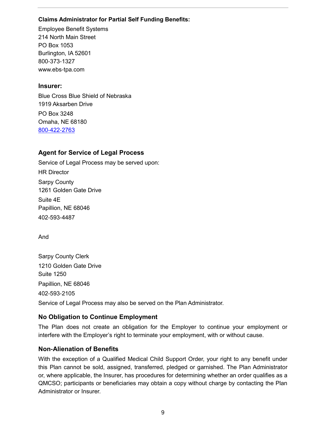#### **Claims Administrator for Partial Self Funding Benefits:**

Employee Benefit Systems 214 North Main Street PO Box 1053 Burlington, IA 52601 800-373-1327 www.ebs-tpa.com

## **Insurer:**

Blue Cross Blue Shield of Nebraska 1919 Aksarben Drive PO Box 3248 Omaha, NE 68180 800-422-2763

# **Agent for Service of Legal Process**

Service of Legal Process may be served upon: HR Director Sarpy County 1261 Golden Gate Drive Suite 4E Papillion, NE 68046 402-593-4487

And

Sarpy County Clerk 1210 Golden Gate Drive Suite 1250 Papillion, NE 68046 402-593-2105 Service of Legal Process may also be served on the Plan Administrator.

# **No Obligation to Continue Employment**

The Plan does not create an obligation for the Employer to continue your employment or interfere with the Employer's right to terminate your employment, with or without cause.

# **Non-Alienation of Benefits**

With the exception of a Qualified Medical Child Support Order, your right to any benefit under this Plan cannot be sold, assigned, transferred, pledged or garnished. The Plan Administrator or, where applicable, the Insurer, has procedures for determining whether an order qualifies as a QMCSO; participants or beneficiaries may obtain a copy without charge by contacting the Plan Administrator or Insurer.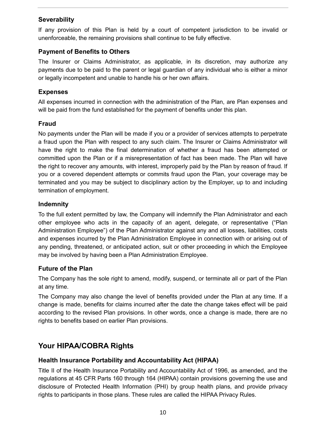# **Severability**

If any provision of this Plan is held by a court of competent jurisdiction to be invalid or unenforceable, the remaining provisions shall continue to be fully effective.

## **Payment of Benefits to Others**

The Insurer or Claims Administrator, as applicable, in its discretion, may authorize any payments due to be paid to the parent or legal guardian of any individual who is either a minor or legally incompetent and unable to handle his or her own affairs.

### **Expenses**

All expenses incurred in connection with the administration of the Plan, are Plan expenses and will be paid from the fund established for the payment of benefits under this plan.

### **Fraud**

No payments under the Plan will be made if you or a provider of services attempts to perpetrate a fraud upon the Plan with respect to any such claim. The Insurer or Claims Administrator will have the right to make the final determination of whether a fraud has been attempted or committed upon the Plan or if a misrepresentation of fact has been made. The Plan will have the right to recover any amounts, with interest, improperly paid by the Plan by reason of fraud. If you or a covered dependent attempts or commits fraud upon the Plan, your coverage may be terminated and you may be subject to disciplinary action by the Employer, up to and including termination of employment.

# **Indemnity**

To the full extent permitted by law, the Company will indemnify the Plan Administrator and each other employee who acts in the capacity of an agent, delegate, or representative ("Plan Administration Employee") of the Plan Administrator against any and all losses, liabilities, costs and expenses incurred by the Plan Administration Employee in connection with or arising out of any pending, threatened, or anticipated action, suit or other proceeding in which the Employee may be involved by having been a Plan Administration Employee.

# **Future of the Plan**

The Company has the sole right to amend, modify, suspend, or terminate all or part of the Plan at any time.

The Company may also change the level of benefits provided under the Plan at any time. If a change is made, benefits for claims incurred after the date the change takes effect will be paid according to the revised Plan provisions. In other words, once a change is made, there are no rights to benefits based on earlier Plan provisions.

# **Your HIPAA/COBRA Rights**

# **Health Insurance Portability and Accountability Act (HIPAA)**

Title II of the Health Insurance Portability and Accountability Act of 1996, as amended, and the regulations at 45 CFR Parts 160 through 164 (HIPAA) contain provisions governing the use and disclosure of Protected Health Information (PHI) by group health plans, and provide privacy rights to participants in those plans. These rules are called the HIPAA Privacy Rules.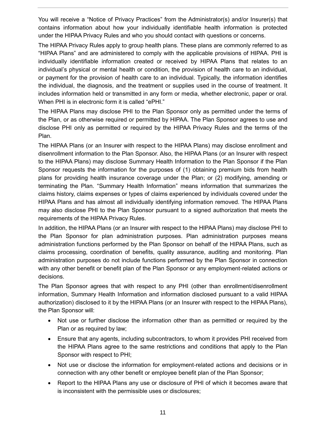You will receive a "Notice of Privacy Practices" from the Administrator(s) and/or Insurer(s) that contains information about how your individually identifiable health information is protected under the HIPAA Privacy Rules and who you should contact with questions or concerns.

The HIPAA Privacy Rules apply to group health plans. These plans are commonly referred to as "HIPAA Plans" and are administered to comply with the applicable provisions of HIPAA. PHI is individually identifiable information created or received by HIPAA Plans that relates to an individual's physical or mental health or condition, the provision of health care to an individual, or payment for the provision of health care to an individual. Typically, the information identifies the individual, the diagnosis, and the treatment or supplies used in the course of treatment. It includes information held or transmitted in any form or media, whether electronic, paper or oral. When PHI is in electronic form it is called "ePHI."

The HIPAA Plans may disclose PHI to the Plan Sponsor only as permitted under the terms of the Plan, or as otherwise required or permitted by HIPAA. The Plan Sponsor agrees to use and disclose PHI only as permitted or required by the HIPAA Privacy Rules and the terms of the Plan.

The HIPAA Plans (or an Insurer with respect to the HIPAA Plans) may disclose enrollment and disenrollment information to the Plan Sponsor. Also, the HIPAA Plans (or an Insurer with respect to the HIPAA Plans) may disclose Summary Health Information to the Plan Sponsor if the Plan Sponsor requests the information for the purposes of (1) obtaining premium bids from health plans for providing health insurance coverage under the Plan; or (2) modifying, amending or terminating the Plan. "Summary Health Information" means information that summarizes the claims history, claims expenses or types of claims experienced by individuals covered under the HIPAA Plans and has almost all individually identifying information removed. The HIPAA Plans may also disclose PHI to the Plan Sponsor pursuant to a signed authorization that meets the requirements of the HIPAA Privacy Rules.

In addition, the HIPAA Plans (or an Insurer with respect to the HIPAA Plans) may disclose PHI to the Plan Sponsor for plan administration purposes. Plan administration purposes means administration functions performed by the Plan Sponsor on behalf of the HIPAA Plans, such as claims processing, coordination of benefits, quality assurance, auditing and monitoring. Plan administration purposes do not include functions performed by the Plan Sponsor in connection with any other benefit or benefit plan of the Plan Sponsor or any employment-related actions or decisions.

The Plan Sponsor agrees that with respect to any PHI (other than enrollment/disenrollment information, Summary Health Information and information disclosed pursuant to a valid HIPAA authorization) disclosed to it by the HIPAA Plans (or an Insurer with respect to the HIPAA Plans), the Plan Sponsor will:

- Not use or further disclose the information other than as permitted or required by the Plan or as required by law;
- Ensure that any agents, including subcontractors, to whom it provides PHI received from the HIPAA Plans agree to the same restrictions and conditions that apply to the Plan Sponsor with respect to PHI;
- Not use or disclose the information for employment-related actions and decisions or in connection with any other benefit or employee benefit plan of the Plan Sponsor;
- Report to the HIPAA Plans any use or disclosure of PHI of which it becomes aware that is inconsistent with the permissible uses or disclosures;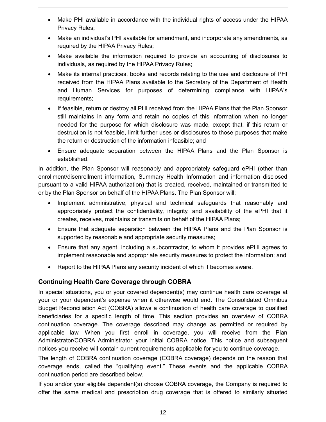- Make PHI available in accordance with the individual rights of access under the HIPAA Privacy Rules;
- Make an individual's PHI available for amendment, and incorporate any amendments, as required by the HIPAA Privacy Rules;
- Make available the information required to provide an accounting of disclosures to individuals, as required by the HIPAA Privacy Rules;
- Make its internal practices, books and records relating to the use and disclosure of PHI received from the HIPAA Plans available to the Secretary of the Department of Health and Human Services for purposes of determining compliance with HIPAA's requirements;
- If feasible, return or destroy all PHI received from the HIPAA Plans that the Plan Sponsor still maintains in any form and retain no copies of this information when no longer needed for the purpose for which disclosure was made, except that, if this return or destruction is not feasible, limit further uses or disclosures to those purposes that make the return or destruction of the information infeasible; and
- Ensure adequate separation between the HIPAA Plans and the Plan Sponsor is established.

In addition, the Plan Sponsor will reasonably and appropriately safeguard ePHI (other than enrollment/disenrollment information, Summary Health Information and information disclosed pursuant to a valid HIPAA authorization) that is created, received, maintained or transmitted to or by the Plan Sponsor on behalf of the HIPAA Plans. The Plan Sponsor will:

- Implement administrative, physical and technical safeguards that reasonably and appropriately protect the confidentiality, integrity, and availability of the ePHI that it creates, receives, maintains or transmits on behalf of the HIPAA Plans;
- Ensure that adequate separation between the HIPAA Plans and the Plan Sponsor is supported by reasonable and appropriate security measures;
- Ensure that any agent, including a subcontractor, to whom it provides ePHI agrees to implement reasonable and appropriate security measures to protect the information; and
- Report to the HIPAA Plans any security incident of which it becomes aware.

# **Continuing Health Care Coverage through COBRA**

In special situations, you or your covered dependent(s) may continue health care coverage at your or your dependent's expense when it otherwise would end. The Consolidated Omnibus Budget Reconciliation Act (COBRA) allows a continuation of health care coverage to qualified beneficiaries for a specific length of time. This section provides an overview of COBRA continuation coverage. The coverage described may change as permitted or required by applicable law. When you first enroll in coverage, you will receive from the Plan Administrator/COBRA Administrator your initial COBRA notice. This notice and subsequent notices you receive will contain current requirements applicable for you to continue coverage.

The length of COBRA continuation coverage (COBRA coverage) depends on the reason that coverage ends, called the "qualifying event." These events and the applicable COBRA continuation period are described below.

If you and/or your eligible dependent(s) choose COBRA coverage, the Company is required to offer the same medical and prescription drug coverage that is offered to similarly situated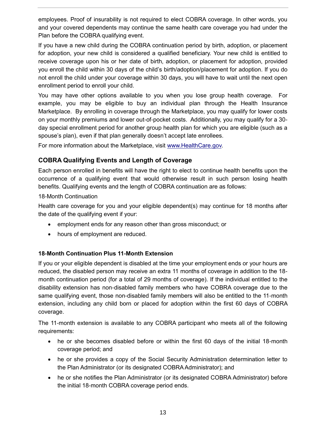employees. Proof of insurability is not required to elect COBRA coverage. In other words, you and your covered dependents may continue the same health care coverage you had under the Plan before the COBRA qualifying event.

If you have a new child during the COBRA continuation period by birth, adoption, or placement for adoption, your new child is considered a qualified beneficiary. Your new child is entitled to receive coverage upon his or her date of birth, adoption, or placement for adoption, provided you enroll the child within 30 days of the child's birth/adoption/placement for adoption. If you do not enroll the child under your coverage within 30 days, you will have to wait until the next open enrollment period to enroll your child.

You may have other options available to you when you lose group health coverage. For example, you may be eligible to buy an individual plan through the Health Insurance Marketplace. By enrolling in coverage through the Marketplace, you may qualify for lower costs on your monthly premiums and lower out-of-pocket costs. Additionally, you may qualify for a 30 day special enrollment period for another group health plan for which you are eligible (such as a spouse's plan), even if that plan generally doesn't accept late enrollees.

For more information about the Marketplace, visit [www.HealthCare.gov.](http://www.healthcare.gov/)

# **COBRA Qualifying Events and Length of Coverage**

Each person enrolled in benefits will have the right to elect to continue health benefits upon the occurrence of a qualifying event that would otherwise result in such person losing health benefits. Qualifying events and the length of COBRA continuation are as follows:

#### 18-Month Continuation

Health care coverage for you and your eligible dependent(s) may continue for 18 months after the date of the qualifying event if your:

- employment ends for any reason other than gross misconduct; or
- hours of employment are reduced.

#### **18-Month Continuation Plus 11-Month Extension**

If you or your eligible dependent is disabled at the time your employment ends or your hours are reduced, the disabled person may receive an extra 11 months of coverage in addition to the 18 month continuation period (for a total of 29 months of coverage). If the individual entitled to the disability extension has non-disabled family members who have COBRA coverage due to the same qualifying event, those non-disabled family members will also be entitled to the 11-month extension, including any child born or placed for adoption within the first 60 days of COBRA coverage.

The 11-month extension is available to any COBRA participant who meets all of the following requirements:

- he or she becomes disabled before or within the first 60 days of the initial 18-month coverage period; and
- he or she provides a copy of the Social Security Administration determination letter to the Plan Administrator (or its designated COBRA Administrator); and
- he or she notifies the Plan Administrator (or its designated COBRA Administrator) before the initial 18-month COBRA coverage period ends.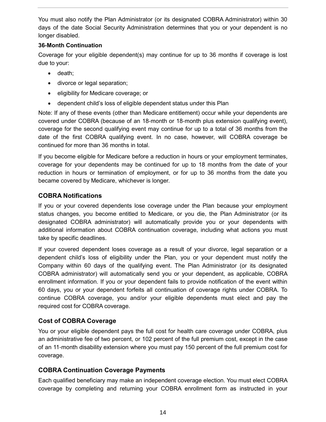You must also notify the Plan Administrator (or its designated COBRA Administrator) within 30 days of the date Social Security Administration determines that you or your dependent is no longer disabled.

## **36-Month Continuation**

Coverage for your eligible dependent(s) may continue for up to 36 months if coverage is lost due to your:

- death;
- divorce or legal separation;
- eligibility for Medicare coverage; or
- dependent child's loss of eligible dependent status under this Plan

Note: If any of these events (other than Medicare entitlement) occur while your dependents are covered under COBRA (because of an 18-month or 18-month plus extension qualifying event), coverage for the second qualifying event may continue for up to a total of 36 months from the date of the first COBRA qualifying event. In no case, however, will COBRA coverage be continued for more than 36 months in total.

If you become eligible for Medicare before a reduction in hours or your employment terminates, coverage for your dependents may be continued for up to 18 months from the date of your reduction in hours or termination of employment, or for up to 36 months from the date you became covered by Medicare, whichever is longer.

# **COBRA Notifications**

If you or your covered dependents lose coverage under the Plan because your employment status changes, you become entitled to Medicare, or you die, the Plan Administrator (or its designated COBRA administrator) will automatically provide you or your dependents with additional information about COBRA continuation coverage, including what actions you must take by specific deadlines.

If your covered dependent loses coverage as a result of your divorce, legal separation or a dependent child's loss of eligibility under the Plan, you or your dependent must notify the Company within 60 days of the qualifying event. The Plan Administrator (or its designated COBRA administrator) will automatically send you or your dependent, as applicable, COBRA enrollment information. If you or your dependent fails to provide notification of the event within 60 days, you or your dependent forfeits all continuation of coverage rights under COBRA. To continue COBRA coverage, you and/or your eligible dependents must elect and pay the required cost for COBRA coverage.

# **Cost of COBRA Coverage**

You or your eligible dependent pays the full cost for health care coverage under COBRA, plus an administrative fee of two percent, or 102 percent of the full premium cost, except in the case of an 11-month disability extension where you must pay 150 percent of the full premium cost for coverage.

# **COBRA Continuation Coverage Payments**

Each qualified beneficiary may make an independent coverage election. You must elect COBRA coverage by completing and returning your COBRA enrollment form as instructed in your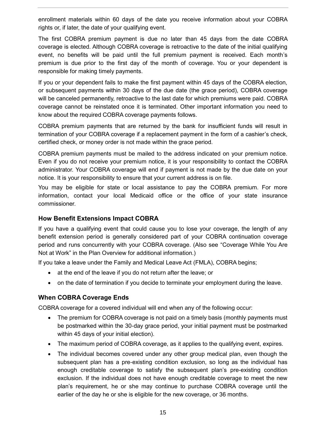enrollment materials within 60 days of the date you receive information about your COBRA rights or, if later, the date of your qualifying event.

The first COBRA premium payment is due no later than 45 days from the date COBRA coverage is elected. Although COBRA coverage is retroactive to the date of the initial qualifying event, no benefits will be paid until the full premium payment is received. Each month's premium is due prior to the first day of the month of coverage. You or your dependent is responsible for making timely payments.

If you or your dependent fails to make the first payment within 45 days of the COBRA election, or subsequent payments within 30 days of the due date (the grace period), COBRA coverage will be canceled permanently, retroactive to the last date for which premiums were paid. COBRA coverage cannot be reinstated once it is terminated. Other important information you need to know about the required COBRA coverage payments follows.

COBRA premium payments that are returned by the bank for insufficient funds will result in termination of your COBRA coverage if a replacement payment in the form of a cashier's check, certified check, or money order is not made within the grace period.

COBRA premium payments must be mailed to the address indicated on your premium notice. Even if you do not receive your premium notice, it is your responsibility to contact the COBRA administrator. Your COBRA coverage will end if payment is not made by the due date on your notice. It is your responsibility to ensure that your current address is on file.

You may be eligible for state or local assistance to pay the COBRA premium. For more information, contact your local Medicaid office or the office of your state insurance commissioner.

# **How Benefit Extensions Impact COBRA**

If you have a qualifying event that could cause you to lose your coverage, the length of any benefit extension period is generally considered part of your COBRA continuation coverage period and runs concurrently with your COBRA coverage. (Also see "Coverage While You Are Not at Work" in the Plan Overview for additional information.)

If you take a leave under the Family and Medical Leave Act (FMLA), COBRA begins;

- at the end of the leave if you do not return after the leave; or
- on the date of termination if you decide to terminate your employment during the leave.

#### **When COBRA Coverage Ends**

COBRA coverage for a covered individual will end when any of the following occur:

- The premium for COBRA coverage is not paid on a timely basis (monthly payments must be postmarked within the 30-day grace period, your initial payment must be postmarked within 45 days of your initial election).
- The maximum period of COBRA coverage, as it applies to the qualifying event, expires.
- The individual becomes covered under any other group medical plan, even though the subsequent plan has a pre-existing condition exclusion, so long as the individual has enough creditable coverage to satisfy the subsequent plan's pre-existing condition exclusion. If the individual does not have enough creditable coverage to meet the new plan's requirement, he or she may continue to purchase COBRA coverage until the earlier of the day he or she is eligible for the new coverage, or 36 months.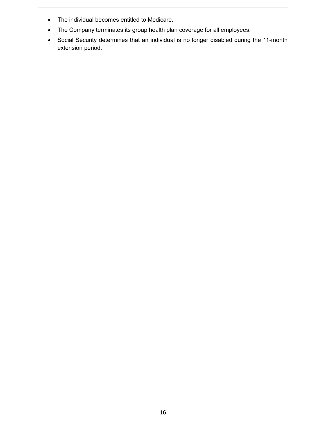- The individual becomes entitled to Medicare.
- The Company terminates its group health plan coverage for all employees.
- Social Security determines that an individual is no longer disabled during the 11-month extension period.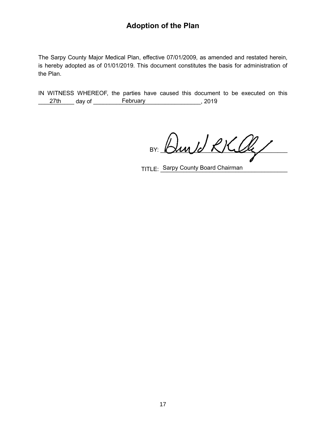# **Adoption of the Plan**

The Sarpy County Major Medical Plan, effective 07/01/2009, as amended and restated herein, is hereby adopted as of 01/01/2019. This document constitutes the basis for administration of the Plan.

IN WITNESS WHEREOF, the parties have caused this document to be executed on this 27th day of February 2019

BY: Bund RKlly

TITLE: \_Sarpy County Board Chairman